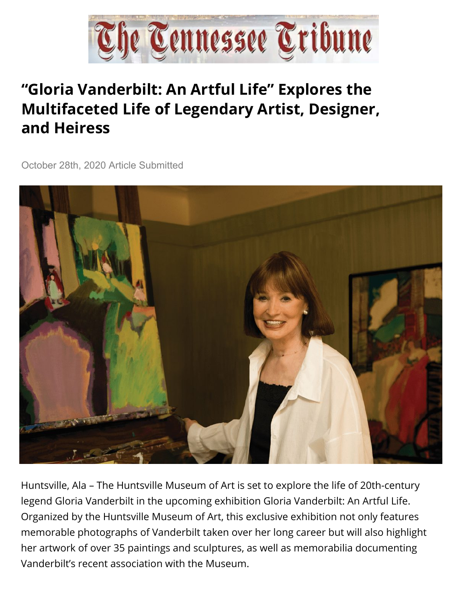

## **"Gloria Vanderbilt: An Artful Life" Explores the Multifaceted Life of Legendary Artist, Designer, and Heiress**

October 28th, 2020 Article Submitted



Huntsville, Ala – The Huntsville Museum of Art is set to explore the life of 20th-century legend Gloria Vanderbilt in the upcoming exhibition Gloria Vanderbilt: An Artful Life. Organized by the Huntsville Museum of Art, this exclusive exhibition not only features memorable photographs of Vanderbilt taken over her long career but will also highlight her artwork of over 35 paintings and sculptures, as well as memorabilia documenting Vanderbilt's recent association with the Museum.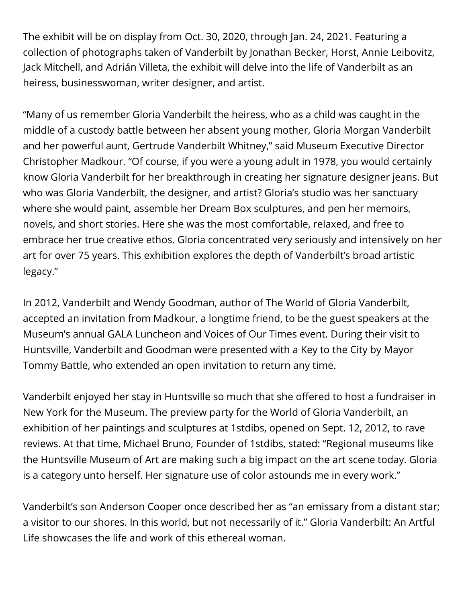Jack Mitchell, and Adrián Villeta, the exhibit will delve into the life of Vanderbilt as an heiress, businesswoman, writer designer, and artist. The exhibit will be on display from Oct. 30, 2020, through Jan. 24, 2021. Featuring a collection of photographs taken of Vanderbilt by Jonathan Becker, Horst, Annie Leibovitz,

"Many of us remember Gloria Vanderbilt the heiress, who as a child was caught in the middle of a custody battle between her absent young mother, Gloria Morgan Vanderbilt and her powerful aunt, Gertrude Vanderbilt Whitney," said Museum Executive Director Christopher Madkour. "Of course, if you were a young adult in 1978, you would certainly know Gloria Vanderbilt for her breakthrough in creating her signature designer jeans. But who was Gloria Vanderbilt, the designer, and artist? Gloria's studio was her sanctuary where she would paint, assemble her Dream Box sculptures, and pen her memoirs, novels, and short stories. Here she was the most comfortable, relaxed, and free to embrace her true creative ethos. Gloria concentrated very seriously and intensively on her art for over 75 years. This exhibition explores the depth of Vanderbilt's broad artistic legacy."

In 2012, Vanderbilt and Wendy Goodman, author of The World of Gloria Vanderbilt, accepted an invitation from Madkour, a longtime friend, to be the guest speakers at the Museum's annual GALA Luncheon and Voices of Our Times event. During their visit to Huntsville, Vanderbilt and Goodman were presented with a Key to the City by Mayor Tommy Battle, who extended an open invitation to return any time.

Vanderbilt enjoyed her stay in Huntsville so much that she offered to host a fundraiser in New York for the Museum. The preview party for the World of Gloria Vanderbilt, an exhibition of her paintings and sculptures at 1stdibs, opened on Sept. 12, 2012, to rave reviews. At that time, Michael Bruno, Founder of 1stdibs, stated: "Regional museums like the Huntsville Museum of Art are making such a big impact on the art scene today. Gloria is a category unto herself. Her signature use of color astounds me in every work."

Vanderbilt's son Anderson Cooper once described her as "an emissary from a distant star; a visitor to our shores. In this world, but not necessarily of it." Gloria Vanderbilt: An Artful Life showcases the life and work of this ethereal woman.